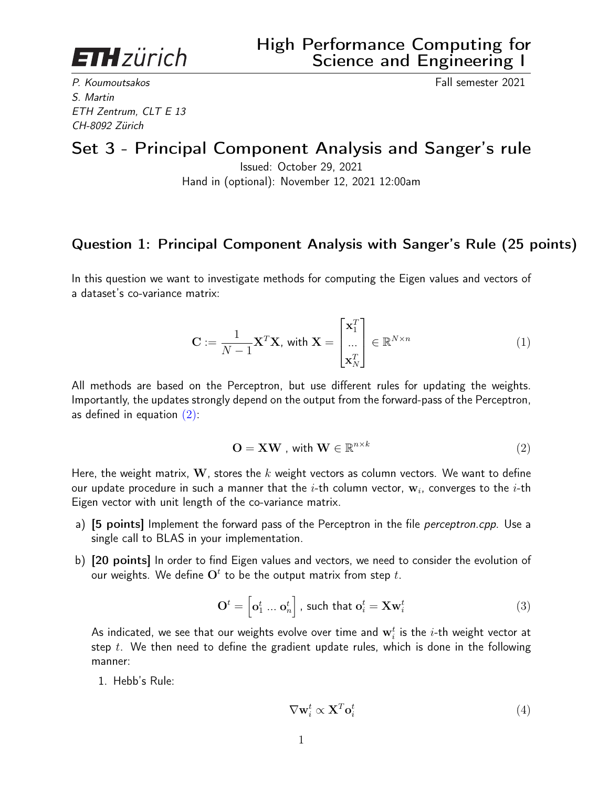**ETH**zürich

P. Koumoutsakos Fall semester 2021 S. Martin ETH Zentrum, CLT E 13 CH-8092 Zürich

## Set 3 - Principal Component Analysis and Sanger's rule

Issued: October 29, 2021 Hand in (optional): November 12, 2021 12:00am

## Question 1: Principal Component Analysis with Sanger's Rule (25 points)

In this question we want to investigate methods for computing the Eigen values and vectors of a dataset's co-variance matrix:

$$
\mathbf{C} := \frac{1}{N-1} \mathbf{X}^T \mathbf{X}, \text{ with } \mathbf{X} = \begin{bmatrix} \mathbf{x}_1^T \\ \dots \\ \mathbf{x}_N^T \end{bmatrix} \in \mathbb{R}^{N \times n}
$$
(1)

All methods are based on the Perceptron, but use different rules for updating the weights. Importantly, the updates strongly depend on the output from the forward-pass of the Perceptron, as defined in equation  $(2)$ :

<span id="page-0-0"></span>
$$
\mathbf{O} = \mathbf{X}\mathbf{W}, \text{ with } \mathbf{W} \in \mathbb{R}^{n \times k}
$$
 (2)

Here, the weight matrix, W, stores the k weight vectors as column vectors. We want to define our update procedure in such a manner that the  $i\text{-th}$  column vector,  $\mathbf{w}_i$ , converges to the  $i\text{-th}$ Eigen vector with unit length of the co-variance matrix.

- a) [5 points] Implement the forward pass of the Perceptron in the file *perceptron.cpp*. Use a single call to BLAS in your implementation.
- b) [20 points] In order to find Eigen values and vectors, we need to consider the evolution of our weights. We define  $\mathbf{O}^t$  to be the output matrix from step  $t.$

$$
\mathbf{O}^t = \begin{bmatrix} \mathbf{o}_1^t \dots \mathbf{o}_n^t \end{bmatrix}, \text{ such that } \mathbf{o}_i^t = \mathbf{X} \mathbf{w}_i^t \tag{3}
$$

As indicated, we see that our weights evolve over time and  $\mathbf{w}_i^t$  is the  $i$ -th weight vector at step  $t$ . We then need to define the gradient update rules, which is done in the following manner:

1. Hebb's Rule:

$$
\nabla \mathbf{w}_i^t \propto \mathbf{X}^T \mathbf{o}_i^t \tag{4}
$$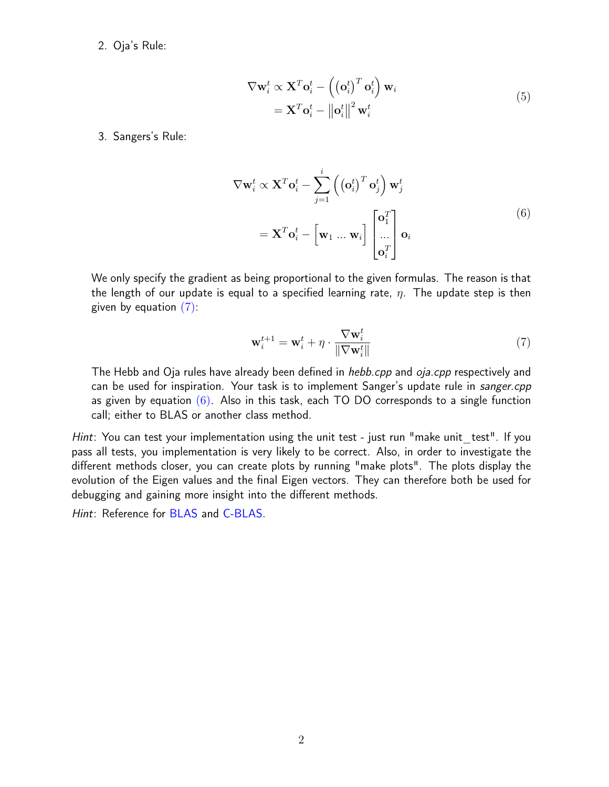2. Oja's Rule:

$$
\nabla \mathbf{w}_i^t \propto \mathbf{X}^T \mathbf{o}_i^t - \left( \left( \mathbf{o}_i^t \right)^T \mathbf{o}_i^t \right) \mathbf{w}_i
$$
  
=  $\mathbf{X}^T \mathbf{o}_i^t - ||\mathbf{o}_i^t||^2 \mathbf{w}_i^t$  (5)

3. Sangers's Rule:

$$
\nabla \mathbf{w}_i^t \propto \mathbf{X}^T \mathbf{o}_i^t - \sum_{j=1}^i \left( \left( \mathbf{o}_i^t \right)^T \mathbf{o}_j^t \right) \mathbf{w}_j^t
$$
  
=  $\mathbf{X}^T \mathbf{o}_i^t - \left[ \mathbf{w}_1 \dots \mathbf{w}_i \right] \begin{bmatrix} \mathbf{o}_1^T \\ \dots \\ \mathbf{o}_i^T \end{bmatrix} \mathbf{o}_i$  (6)

<span id="page-1-1"></span>We only specify the gradient as being proportional to the given formulas. The reason is that the length of our update is equal to a specified learning rate,  $\eta$ . The update step is then given by equation  $(7)$ :

<span id="page-1-0"></span>
$$
\mathbf{w}_i^{t+1} = \mathbf{w}_i^t + \eta \cdot \frac{\nabla \mathbf{w}_i^t}{\|\nabla \mathbf{w}_i^t\|} \tag{7}
$$

The Hebb and Oja rules have already been defined in *hebb.cpp* and *oja.cpp* respectively and can be used for inspiration. Your task is to implement Sanger's update rule in sanger.cpp as given by equation  $(6)$ . Also in this task, each TO DO corresponds to a single function call; either to BLAS or another class method.

Hint: You can test your implementation using the unit test - just run "make unit test". If you pass all tests, you implementation is very likely to be correct. Also, in order to investigate the different methods closer, you can create plots by running "make plots". The plots display the evolution of the Eigen values and the final Eigen vectors. They can therefore both be used for debugging and gaining more insight into the different methods.

Hint: Reference for [BLAS](http://www.netlib.org/blas/) and [C-BLAS.](https://developer.apple.com/documentation/accelerate/blas)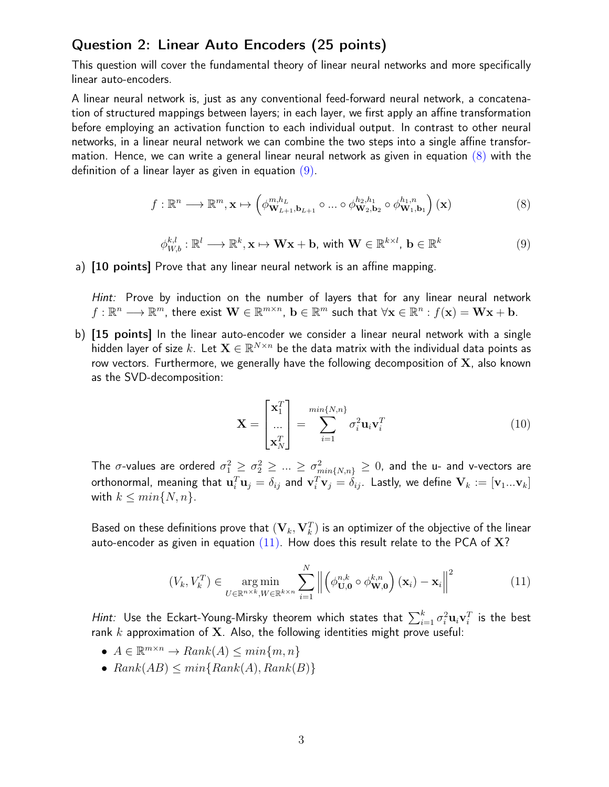## Question 2: Linear Auto Encoders (25 points)

This question will cover the fundamental theory of linear neural networks and more specifically linear auto-encoders.

A linear neural network is, just as any conventional feed-forward neural network, a concatenation of structured mappings between layers; in each layer, we first apply an affine transformation before employing an activation function to each individual output. In contrast to other neural networks, in a linear neural network we can combine the two steps into a single affine transformation. Hence, we can write a general linear neural network as given in equation  $(8)$  with the definition of a linear layer as given in equation  $(9)$ .

<span id="page-2-0"></span>
$$
f: \mathbb{R}^n \longrightarrow \mathbb{R}^m, \mathbf{x} \mapsto \left(\phi_{\mathbf{W}_{L+1}, \mathbf{b}_{L+1}}^{m, h_L} \circ \dots \circ \phi_{\mathbf{W}_2, \mathbf{b}_2}^{h_2, h_1} \circ \phi_{\mathbf{W}_1, \mathbf{b}_1}^{h_1, n}\right)(\mathbf{x})
$$
(8)

<span id="page-2-1"></span>
$$
\phi_{W,b}^{k,l} : \mathbb{R}^l \longrightarrow \mathbb{R}^k, \mathbf{x} \mapsto \mathbf{W}\mathbf{x} + \mathbf{b}, \text{ with } \mathbf{W} \in \mathbb{R}^{k \times l}, \mathbf{b} \in \mathbb{R}^k
$$
\n(9)

a) [10 points] Prove that any linear neural network is an affine mapping.

Hint: Prove by induction on the number of layers that for any linear neural network  $f: \mathbb{R}^n \longrightarrow \mathbb{R}^m$ , there exist  $\mathbf{W} \in \mathbb{R}^{m \times n}$ ,  $\mathbf{b} \in \mathbb{R}^m$  such that  $\forall \mathbf{x} \in \mathbb{R}^n : f(\mathbf{x}) = \mathbf{W}\mathbf{x} + \mathbf{b}$ .

b) [15 points] In the linear auto-encoder we consider a linear neural network with a single hidden layer of size  $k.$  Let  $\mathbf{X} \in \mathbb{R}^{N \times n}$  be the data matrix with the individual data points as row vectors. Furthermore, we generally have the following decomposition of  $X$ , also known as the SVD-decomposition:

$$
\mathbf{X} = \begin{bmatrix} \mathbf{x}_1^T \\ \dots \\ \mathbf{x}_N^T \end{bmatrix} = \sum_{i=1}^{min\{N,n\}} \sigma_i^2 \mathbf{u}_i \mathbf{v}_i^T
$$
(10)

The  $\sigma$ -values are ordered  $\sigma_1^2\geq\sigma_2^2\geq...\geq\sigma_{min\{N,n\}}^2\geq0$ , and the u- and v-vectors are orthonormal, meaning that  ${\bf u}_i^T{\bf u}_j=\delta_{ij}$  and  ${\bf v}_i^T{\bf v}_j=\delta_{ij}.$  Lastly, we define  ${\bf V}_k:=[{\bf v}_1...{\bf v}_k]$ with  $k \leq min\{N, n\}$ .

Based on these definitions prove that  $(\mathbf V_k, \mathbf V_k^T)$  is an optimizer of the objective of the linear auto-encoder as given in equation  $(11)$ . How does this result relate to the PCA of X?

<span id="page-2-2"></span>
$$
(V_k, V_k^T) \in \underset{U \in \mathbb{R}^{n \times k}, W \in \mathbb{R}^{k \times n}}{\arg \min} \sum_{i=1}^N \left\| \left( \phi_{\mathbf{U},\mathbf{0}}^{n,k} \circ \phi_{\mathbf{W},\mathbf{0}}^{k,n} \right) (\mathbf{x}_i) - \mathbf{x}_i \right\|^2 \tag{11}
$$

*Hint:* Use the Eckart-Young-Mirsky theorem which states that  $\sum_{i=1}^k \sigma_i^2 \mathbf{u}_i \mathbf{v}_i^T$  is the best rank  $k$  approximation of X. Also, the following identities might prove useful:

- $A \in \mathbb{R}^{m \times n} \to Rank(A) \leq min\{m, n\}$
- $Rank(AB) \le min\{Rank(A), Rank(B)\}\$